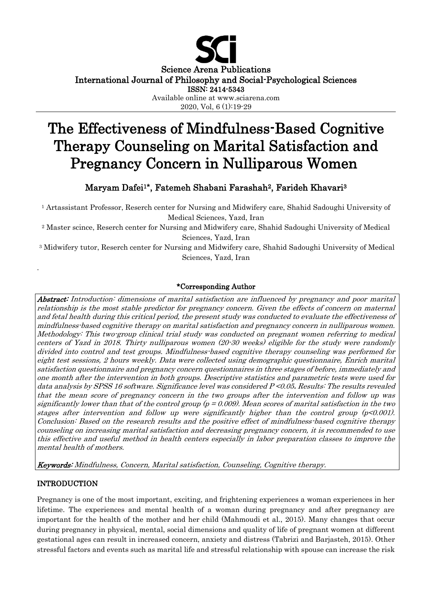

Science Arena Publications

International Journal of Philosophy and Social-Psychological Sciences

ISSN: 2414-5343

Available online at www.sciarena.com 2020, Vol, 6 (1):19-29

# The Effectiveness of Mindfulness-Based Cognitive Therapy Counseling on Marital Satisfaction and Pregnancy Concern in Nulliparous Women

# Maryam Dafei<sup>1</sup>**\***, Fatemeh Shabani Farashah2, Farideh Khavari<sup>3</sup>

<sup>1</sup> Artassistant Professor, Reserch center for Nursing and Midwifery care, Shahid Sadoughi University of Medical Sciences, Yazd, Iran

<sup>2</sup> Master scince, Reserch center for Nursing and Midwifery care, Shahid Sadoughi University of Medical Sciences, Yazd, Iran

<sup>3</sup> Midwifery tutor, Reserch center for Nursing and Midwifery care, Shahid Sadoughi University of Medical Sciences, Yazd, Iran

# \*Corresponding Author

Abstract: Introduction: dimensions of marital satisfaction are influenced by pregnancy and poor marital relationship is the most stable predictor for pregnancy concern. Given the effects of concern on maternal and fetal health during this critical period, the present study was conducted to evaluate the effectiveness of mindfulness-based cognitive therapy on marital satisfaction and pregnancy concern in nulliparous women. Methodology: This two-group clinical trial study was conducted on pregnant women referring to medical centers of Yazd in 2018. Thirty nulliparous women (20-30 weeks) eligible for the study were randomly divided into control and test groups. Mindfulness-based cognitive therapy counseling was performed for eight test sessions, 2 hours weekly. Data were collected using demographic questionnaire, Enrich marital satisfaction questionnaire and pregnancy concern questionnaires in three stages of before, immediately and one month after the intervention in both groups. Descriptive statistics and parametric tests were used for data analysis by SPSS 16 software. Significance level was considered P <0.05**.** Results: The results revealed that the mean score of pregnancy concern in the two groups after the intervention and follow up was significantly lower than that of the control group  $(p = 0.009)$ . Mean scores of marital satisfaction in the two stages after intervention and follow up were significantly higher than the control group  $(p<0.001)$ . Conclusion: Based on the research results and the positive effect of mindfulness-based cognitive therapy counseling on increasing marital satisfaction and decreasing pregnancy concern, it is recommended to use this effective and useful method in health centers especially in labor preparation classes to improve the mental health of mothers.

Keywords: Mindfulness, Concern, Marital satisfaction, Counseling, Cognitive therapy.

# INTRODUCTION

.

Pregnancy is one of the most important, exciting, and frightening experiences a woman experiences in her lifetime. The experiences and mental health of a woman during pregnancy and after pregnancy are important for the health of the mother and her child (Mahmoudi et al., 2015). Many changes that occur during pregnancy in physical, mental, social dimensions and quality of life of pregnant women at different gestational ages can result in increased concern, anxiety and distress (Tabrizi and Barjasteh, 2015). Other stressful factors and events such as marital life and stressful relationship with spouse can increase the risk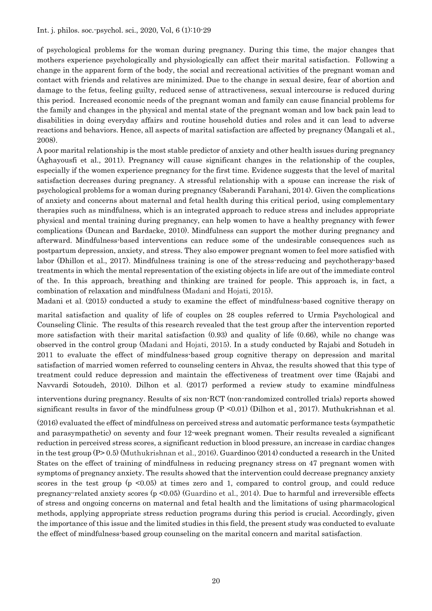of psychological problems for the woman during pregnancy. During this time, the major changes that mothers experience psychologically and physiologically can affect their marital satisfaction. Following a change in the apparent form of the body, the social and recreational activities of the pregnant woman and contact with friends and relatives are minimized. Due to the change in sexual desire, fear of abortion and damage to the fetus, feeling guilty, reduced sense of attractiveness, sexual intercourse is reduced during this period. Increased economic needs of the pregnant woman and family can cause financial problems for the family and changes in the physical and mental state of the pregnant woman and low back pain lead to disabilities in doing everyday affairs and routine household duties and roles and it can lead to adverse reactions and behaviors. Hence, all aspects of marital satisfaction are affected by pregnancy (Mangali et al., 2008).

A poor marital relationship is the most stable predictor of anxiety and other health issues during pregnancy (Aghayousfi et al., 2011). Pregnancy will cause significant changes in the relationship of the couples, especially if the women experience pregnancy for the first time. Evidence suggests that the level of marital satisfaction decreases during pregnancy. A stressful relationship with a spouse can increase the risk of psychological problems for a woman during pregnancy (Saberandi Farahani, 2014). Given the complications of anxiety and concerns about maternal and fetal health during this critical period, using complementary therapies such as mindfulness, which is an integrated approach to reduce stress and includes appropriate physical and mental training during pregnancy, can help women to have a healthy pregnancy with fewer complications (Duncan and Bardacke, 2010). Mindfulness can support the mother during pregnancy and afterward. Mindfulness-based interventions can reduce some of the undesirable consequences such as postpartum depression, anxiety, and stress. They also empower pregnant women to feel more satisfied with labor (Dhillon et al., 2017). Mindfulness training is one of the stress-reducing and psychotherapy-based treatments in which the mental representation of the existing objects in life are out of the immediate control of the. In this approach, breathing and thinking are trained for people. This approach is, in fact, a combination of relaxation and mindfulness (Madani and Hojati, 2015).

Madani et al. (2015) conducted a study to examine the effect of mindfulness-based cognitive therapy on

marital satisfaction and quality of life of couples on 28 couples referred to Urmia Psychological and Counseling Clinic. The results of this research revealed that the test group after the intervention reported more satisfaction with their marital satisfaction (0.93) and quality of life (0.66), while no change was observed in the control group (Madani and Hojati, 2015). In a study conducted by Rajabi and Sotudeh in 2011 to evaluate the effect of mindfulness-based group cognitive therapy on depression and marital satisfaction of married women referred to counseling centers in Ahvaz, the results showed that this type of treatment could reduce depression and maintain the effectiveness of treatment over time (Rajabi and Navvardi Sotoudeh, 2010). Dilhon et al. (2017) performed a review study to examine mindfulness

interventions during pregnancy. Results of six non-RCT (non-randomized controlled trials) reports showed significant results in favor of the mindfulness group  $(P \le 0.01)$  (Dilhon et al., 2017). Muthukrishnan et al.

(2016) evaluated the effect of mindfulness on perceived stress and automatic performance tests (sympathetic and parasympathetic) on seventy and four 12-week pregnant women. Their results revealed a significant reduction in perceived stress scores, a significant reduction in blood pressure, an increase in cardiac changes in the test group (P> 0.5) (Muthukrishnan et al., 2016). Guardinoo (2014) conducted a research in the United States on the effect of training of mindfulness in reducing pregnancy stress on 47 pregnant women with symptoms of pregnancy anxiety. The results showed that the intervention could decrease pregnancy anxiety scores in the test group  $(p \le 0.05)$  at times zero and 1, compared to control group, and could reduce pregnancy-related anxiety scores  $(p \le 0.05)$  (Guardino et al., 2014). Due to harmful and irreversible effects of stress and ongoing concerns on maternal and fetal health and the limitations of using pharmacological methods, applying appropriate stress reduction programs during this period is crucial. Accordingly, given the importance of this issue and the limited studies in this field, the present study was conducted to evaluate the effect of mindfulness-based group counseling on the marital concern and marital satisfaction .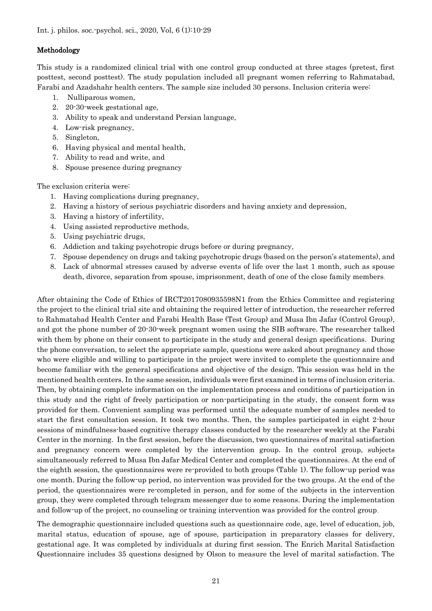### Methodology

This study is a randomized clinical trial with one control group conducted at three stages (pretest, first posttest, second posttest). The study population included all pregnant women referring to Rahmatabad, Farabi and Azadshahr health centers. The sample size included 30 persons. Inclusion criteria were:

- 1. Nulliparous women,
- 2. 20-30-week gestational age,
- 3. Ability to speak and understand Persian language,
- 4. Low-risk pregnancy,
- 5. Singleton,
- 6. Having physical and mental health,
- 7. Ability to read and write, and
- 8. Spouse presence during pregnancy

The exclusion criteria were:

- 1. Having complications during pregnancy,
- 2. Having a history of serious psychiatric disorders and having anxiety and depression,
- 3. Having a history of infertility,
- 4. Using assisted reproductive methods,
- 5. Using psychiatric drugs,
- 6. Addiction and taking psychotropic drugs before or during pregnancy,
- 7. Spouse dependency on drugs and taking psychotropic drugs (based on the person's statements), and
- 8. Lack of abnormal stresses caused by adverse events of life over the last 1 month, such as spouse death, divorce, separation from spouse, imprisonment, death of one of the close family members.

After obtaining the Code of Ethics of IRCT2017080935598N1 from the Ethics Committee and registering the project to the clinical trial site and obtaining the required letter of introduction, the researcher referred to Rahmatabad Health Center and Farabi Health Base (Test Group) and Musa Ibn Jafar (Control Group), and got the phone number of 20-30-week pregnant women using the SIB software. The researcher talked with them by phone on their consent to participate in the study and general design specifications. During the phone conversation, to select the appropriate sample, questions were asked about pregnancy and those who were eligible and willing to participate in the project were invited to complete the questionnaire and become familiar with the general specifications and objective of the design. This session was held in the mentioned health centers. In the same session, individuals were first examined in terms of inclusion criteria. Then, by obtaining complete information on the implementation process and conditions of participation in this study and the right of freely participation or non-participating in the study, the consent form was provided for them. Convenient sampling was performed until the adequate number of samples needed to start the first consultation session. It took two months. Then, the samples participated in eight 2-hour sessions of mindfulness-based cognitive therapy classes conducted by the researcher weekly at the Farabi Center in the morning. In the first session, before the discussion, two questionnaires of marital satisfaction and pregnancy concern were completed by the intervention group. In the control group, subjects simultaneously referred to Musa Ibn Jafar Medical Center and completed the questionnaires. At the end of the eighth session, the questionnaires were re-provided to both groups (Table 1). The follow-up period was one month. During the follow-up period, no intervention was provided for the two groups. At the end of the period, the questionnaires were re-completed in person, and for some of the subjects in the intervention group, they were completed through telegram messenger due to some reasons. During the implementation and follow-up of the project, no counseling or training intervention was provided for the control group .

The demographic questionnaire included questions such as questionnaire code, age, level of education, job, marital status, education of spouse, age of spouse, participation in preparatory classes for delivery, gestational age. It was completed by individuals at during first session. The Enrich Marital Satisfaction Questionnaire includes 35 questions designed by Olson to measure the level of marital satisfaction. The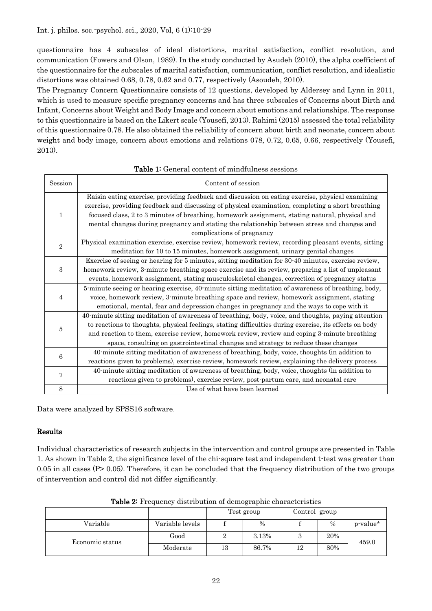#### Int. j. philos. soc.-psychol. sci., 2020, Vol, 6 (1):10-29

questionnaire has 4 subscales of ideal distortions, marital satisfaction, conflict resolution, and communication (Fowers and Olson, 1989). In the study conducted by Asudeh (2010), the alpha coefficient of the questionnaire for the subscales of marital satisfaction, communication, conflict resolution, and idealistic distortions was obtained 0.68, 0.78, 0.62 and 0.77, respectively (Asoudeh, 2010).

The Pregnancy Concern Questionnaire consists of 12 questions, developed by Aldersey and Lynn in 2011, which is used to measure specific pregnancy concerns and has three subscales of Concerns about Birth and Infant, Concerns about Weight and Body Image and concern about emotions and relationships. The response to this questionnaire is based on the Likert scale (Yousefi, 2013). Rahimi (2015) assessed the total reliability of this questionnaire 0.78. He also obtained the reliability of concern about birth and neonate, concern about weight and body image, concern about emotions and relations 078, 0.72, 0.65, 0.66, respectively (Yousefi, 2013).

| <b>Session</b> | Content of session                                                                                                                                                                                                                                                                                                                                                                                                                   |
|----------------|--------------------------------------------------------------------------------------------------------------------------------------------------------------------------------------------------------------------------------------------------------------------------------------------------------------------------------------------------------------------------------------------------------------------------------------|
| $\mathbf{1}$   | Raisin eating exercise, providing feedback and discussion on eating exercise, physical examining<br>exercise, providing feedback and discussing of physical examination, completing a short breathing<br>focused class, 2 to 3 minutes of breathing, homework assignment, stating natural, physical and<br>mental changes during pregnancy and stating the relationship between stress and changes and<br>complications of pregnancy |
| $\overline{2}$ | Physical examination exercise, exercise review, homework review, recording pleasant events, sitting<br>meditation for 10 to 15 minutes, homework assignment, urinary genital changes                                                                                                                                                                                                                                                 |
| 3              | Exercise of seeing or hearing for 5 minutes, sitting meditation for 30-40 minutes, exercise review,<br>homework review, 3-minute breathing space exercise and its review, preparing a list of unpleasant<br>events, homework assignment, stating musculoskeletal changes, correction of pregnancy status                                                                                                                             |
| 4              | 5-minute seeing or hearing exercise, 40-minute sitting meditation of awareness of breathing, body,<br>voice, homework review, 3-minute breathing space and review, homework assignment, stating<br>emotional, mental, fear and depression changes in pregnancy and the ways to cope with it                                                                                                                                          |
| 5              | 40-minute sitting meditation of awareness of breathing, body, voice, and thoughts, paying attention<br>to reactions to thoughts, physical feelings, stating difficulties during exercise, its effects on body<br>and reaction to them, exercise review, homework review, review and coping 3-minute breathing<br>space, consulting on gastrointestinal changes and strategy to reduce these changes                                  |
| 6              | 40-minute sitting meditation of awareness of breathing, body, voice, thoughts (in addition to<br>reactions given to problems), exercise review, homework review, explaining the delivery process                                                                                                                                                                                                                                     |
| 7              | 40-minute sitting meditation of awareness of breathing, body, voice, thoughts (in addition to<br>reactions given to problems), exercise review, post-partum care, and neonatal care                                                                                                                                                                                                                                                  |
| 8              | Use of what have been learned                                                                                                                                                                                                                                                                                                                                                                                                        |

#### Table 1: General content of mindfulness sessions

Data were analyzed by SPSS16 software .

# Results

Individual characteristics of research subjects in the intervention and control groups are presented in Table 1. As shown in Table 2, the significance level of the chi-square test and independent t-test was greater than 0.05 in all cases  $(P> 0.05)$ . Therefore, it can be concluded that the frequency distribution of the two groups of intervention and control did not differ significantly .

|                 |                 | Test group |       | Control group |      |          |
|-----------------|-----------------|------------|-------|---------------|------|----------|
| Variable        | Variable levels |            | $\%$  |               | $\%$ | p-value* |
| Economic status | Good            | ∸          | 3.13% |               | 20%  | 459.0    |
|                 | Moderate        | 13         | 86.7% | 12            | 80%  |          |

Table 2: Frequency distribution of demographic characteristics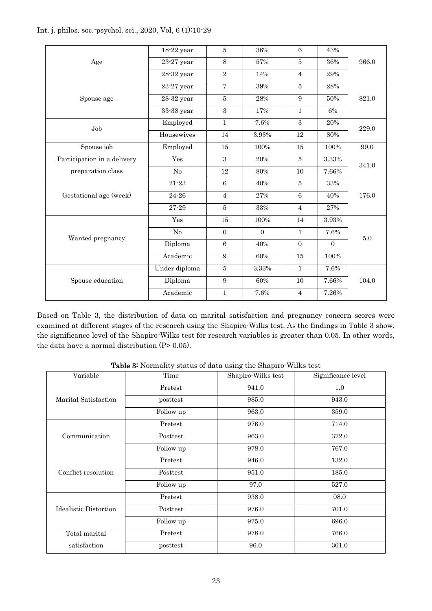|  | Int. j. philos. soc. psychol. sci., 2020, Vol. 6 (1):10-29 |  |
|--|------------------------------------------------------------|--|
|--|------------------------------------------------------------|--|

|                             | $18-22$ year   | 5              | 36%      | 6              | 43%      |       |  |
|-----------------------------|----------------|----------------|----------|----------------|----------|-------|--|
| Age                         | $23-27$ year   | 8              | 57%      | $\overline{5}$ | 36%      | 966.0 |  |
|                             | $28-32$ year   | $\overline{2}$ | 14%      | $\overline{4}$ | 29%      |       |  |
|                             | $23-27$ year   | $\overline{7}$ | 39%      | $\overline{5}$ | 28%      |       |  |
| Spouse age                  | $28-32$ year   | $\overline{5}$ | 28%      | 9              | 50%      | 821.0 |  |
|                             | 33-38 year     | 3              | 17%      | $\mathbf{1}$   | 6%       |       |  |
| Job                         | Employed       | $\mathbf{1}$   | 7.6%     | 3              | 20%      | 229.0 |  |
|                             | Housewives     | 14             | 3.93%    | 12             | 80%      |       |  |
| Spouse job                  | Employed       | 15             | 100%     | 15             | 100%     | 99.0  |  |
| Participation in a delivery | Yes            | 3              | 20%      | $5^{\circ}$    | 3.33%    | 341.0 |  |
| preparation class           | No             | 12             | 80%      | 10             | 7.66%    |       |  |
|                             | $21 - 23$      | $\,6$          | 40%      | 5              | 33%      |       |  |
| Gestational age (week)      | $24 - 26$      | $\overline{4}$ | 27%      | $6\phantom{1}$ | 40%      | 176.0 |  |
|                             | 27-29          | $\overline{5}$ | 33%      | $\overline{4}$ | $27\%$   |       |  |
|                             | Yes            | 15             | 100%     | 14             | 3.93%    |       |  |
| Wanted pregnancy            | N <sub>o</sub> | $\overline{0}$ | $\Omega$ | $\mathbf{1}$   | 7.6%     | 5.0   |  |
|                             | Diploma        | 6              | 40%      | $\mathbf{0}$   | $\Omega$ |       |  |
|                             | Academic       | 9              | 60%      | 15             | 100%     |       |  |
|                             | Under diploma  | $\bf 5$        | 3.33%    | $\mathbf{1}$   | 7.6%     |       |  |
| Spouse education            | Diploma        | 9              | 60%      | 10             | 7.66%    | 104.0 |  |
|                             | Academic       | $\mathbf{1}$   | 7.6%     | $\overline{4}$ | 7.26%    |       |  |

Based on Table 3, the distribution of data on marital satisfaction and pregnancy concern scores were examined at different stages of the research using the Shapiro-Wilks test. As the findings in Table 3 show, the significance level of the Shapiro-Wilks test for research variables is greater than 0.05. In other words, the data have a normal distribution  $(P> 0.05)$ .

| Variable              | Time      | Shapiro-Wilks test | Significance level |
|-----------------------|-----------|--------------------|--------------------|
|                       | Pretest   | 941.0              | 1.0                |
| Marital Satisfaction  | posttest  | 985.0              | 943.0              |
|                       | Follow up | 963.0              | 359.0              |
|                       | Pretest   | 976.0              | 714.0              |
| Communication         | Posttest  | 963.0              | 372.0              |
|                       | Follow up | 978.0              | 767.0              |
|                       | Pretest   | 946.0              | 132.0              |
| Conflict resolution   | Posttest  | 951.0              | 185.0              |
|                       | Follow up | 97.0               | 527.0              |
|                       | Pretest   | 938.0              | 08.0               |
| Idealistic Distortion | Posttest  | 976.0              | 701.0              |
|                       | Follow up | 975.0              | 696.0              |
| Total marital         | Pretest   | 978.0              | 766.0              |
| satisfaction          | posttest  | 96.0               | 301.0              |

Table 3: Normality status of data using the Shapiro-Wilks test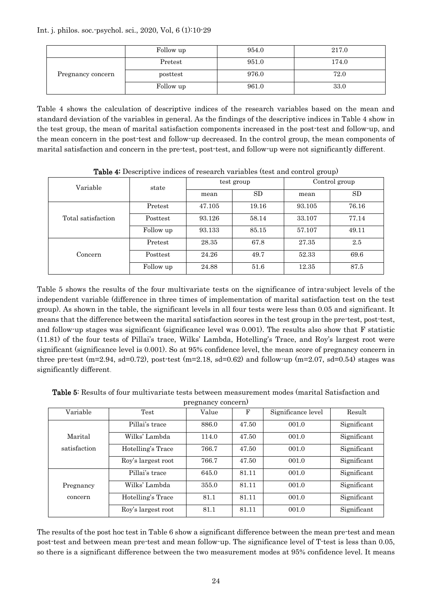Int. j. philos. soc.-psychol. sci., 2020, Vol, 6 (1):10-29

|                   | Follow up | 954.0 | 217.0 |
|-------------------|-----------|-------|-------|
| Pregnancy concern | Pretest   | 951.0 | 174.0 |
|                   | posttest  | 976.0 | 72.0  |
|                   | Follow up | 961.0 | 33.0  |

Table 4 shows the calculation of descriptive indices of the research variables based on the mean and standard deviation of the variables in general. As the findings of the descriptive indices in Table 4 show in the test group, the mean of marital satisfaction components increased in the post-test and follow-up, and the mean concern in the post-test and follow-up decreased. In the control group, the mean components of marital satisfaction and concern in the pre-test, post-test, and follow-up were not significantly different.

| $\sim$ 0.000 0.000 $\sim$ 0.000 0.000 0.000 0.000 0.000 0.000 0.000 0.000 0.000 0.000 0.000 0.000 0.000 0.000 0.000 0.000 0.000 0.000 0.000 0.000 0.000 0.000 0.000 0.000 0.000 0.000 0.000 0.000 0.000 0.000 0.000 0.000 0.000 0 |           |        |            |               |       |  |  |  |
|-----------------------------------------------------------------------------------------------------------------------------------------------------------------------------------------------------------------------------------|-----------|--------|------------|---------------|-------|--|--|--|
| Variable                                                                                                                                                                                                                          | state     |        | test group | Control group |       |  |  |  |
|                                                                                                                                                                                                                                   |           | mean   | <b>SD</b>  | mean          | SD    |  |  |  |
|                                                                                                                                                                                                                                   | Pretest   | 47.105 | 19.16      | 93.105        | 76.16 |  |  |  |
| Total satisfaction                                                                                                                                                                                                                | Posttest  | 93.126 | 58.14      | 33.107        | 77.14 |  |  |  |
|                                                                                                                                                                                                                                   | Follow up | 93.133 | 85.15      | 57.107        | 49.11 |  |  |  |
|                                                                                                                                                                                                                                   | Pretest   | 28.35  | 67.8       | 27.35         | 2.5   |  |  |  |
| Concern                                                                                                                                                                                                                           | Posttest  | 24.26  | 49.7       | 52.33         | 69.6  |  |  |  |
|                                                                                                                                                                                                                                   | Follow up | 24.88  | 51.6       | 12.35         | 87.5  |  |  |  |

Table 4: Descriptive indices of research variables (test and control group)

Table 5 shows the results of the four multivariate tests on the significance of intra-subject levels of the independent variable (difference in three times of implementation of marital satisfaction test on the test group). As shown in the table, the significant levels in all four tests were less than 0.05 and significant. It means that the difference between the marital satisfaction scores in the test group in the pre-test, post-test, and follow-up stages was significant (significance level was 0.001). The results also show that F statistic (11.81) of the four tests of Pillai's trace, Wilks' Lambda, Hotelling's Trace, and Roy's largest root were significant (significance level is 0.001). So at 95% confidence level, the mean score of pregnancy concern in three pre-test (m=2.94, sd=0.72), post-test (m=2.18, sd=0.62) and follow-up (m=2.07, sd=0.54) stages was significantly different.

|              | pregnancy concern) |       |            |                    |             |  |  |  |  |  |  |
|--------------|--------------------|-------|------------|--------------------|-------------|--|--|--|--|--|--|
| Variable     | Test               | Value | $_{\rm F}$ | Significance level | Result      |  |  |  |  |  |  |
|              | Pillai's trace     | 886.0 | 47.50      | 001.0              | Significant |  |  |  |  |  |  |
| Marital      | Wilks' Lambda      | 114.0 | 47.50      | 001.0              | Significant |  |  |  |  |  |  |
| satisfaction | Hotelling's Trace  | 766.7 | 47.50      | 001.0              | Significant |  |  |  |  |  |  |
|              | Roy's largest root | 766.7 | 47.50      | 001.0              | Significant |  |  |  |  |  |  |
|              | Pillai's trace     | 645.0 | 81.11      | 001.0              | Significant |  |  |  |  |  |  |
| Pregnancy    | Wilks' Lambda      | 355.0 | 81.11      | 001.0              | Significant |  |  |  |  |  |  |
| concern      | Hotelling's Trace  | 81.1  | 81.11      | 001.0              | Significant |  |  |  |  |  |  |
|              | Roy's largest root | 81.1  | 81.11      | 001.0              | Significant |  |  |  |  |  |  |

Table 5: Results of four multivariate tests between measurement modes (marital Satisfaction and

The results of the post hoc test in Table 6 show a significant difference between the mean pre-test and mean post-test and between mean pre-test and mean follow-up. The significance level of T-test is less than 0.05, so there is a significant difference between the two measurement modes at 95% confidence level. It means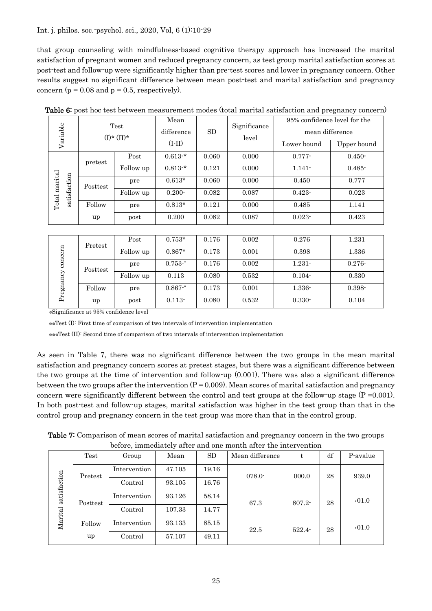#### Int. j. philos. soc.-psychol. sci., 2020, Vol, 6 (1):10-29

that group counseling with mindfulness-based cognitive therapy approach has increased the marital satisfaction of pregnant women and reduced pregnancy concern, as test group marital satisfaction scores at post-test and follow-up were significantly higher than pre-test scores and lower in pregnancy concern. Other results suggest no significant difference between mean post-test and marital satisfaction and pregnancy concern ( $p = 0.08$  and  $p = 0.5$ , respectively).

| Variable              |          | Test<br>$(I) * (II) *$ | Mean<br>difference | SD    | Significance<br>level | 95% confidence level for the<br>mean difference |             |
|-----------------------|----------|------------------------|--------------------|-------|-----------------------|-------------------------------------------------|-------------|
|                       |          |                        | $(I-II)$           |       |                       | Lower bound                                     | Upper bound |
|                       | pretest  | Post                   | $0.613*$           | 0.060 | 0.000                 | $0.777 -$                                       | $0.450 -$   |
|                       |          | Follow up              | $0.813*$           | 0.121 | 0.000                 | $1.141 -$                                       | $0.485 -$   |
| marital               | Posttest | pre                    | $0.613*$           | 0.060 | 0.000                 | 0.450                                           | 0.777       |
| satisfaction<br>Total |          | Follow up              | $0.200 -$          | 0.082 | 0.087                 | $0.423 -$                                       | 0.023       |
|                       | Follow   | pre                    | $0.813*$           | 0.121 | 0.000                 | 0.485                                           | 1.141       |
|                       | up       | post                   | 0.200              | 0.082 | 0.087                 | $0.023 -$                                       | 0.423       |

|  |  | Table 6: post hoc test between measurement modes (total marital satisfaction and pregnancy concern) |  |  |  |  |
|--|--|-----------------------------------------------------------------------------------------------------|--|--|--|--|
|--|--|-----------------------------------------------------------------------------------------------------|--|--|--|--|

| concern<br>Pregnancy | Pretest  | Post      | $0.753*$    | 0.176 | 0.002 | 0.276     | 1.231     |
|----------------------|----------|-----------|-------------|-------|-------|-----------|-----------|
|                      |          | Follow up | $0.867*$    | 0.173 | 0.001 | 0.398     | 1.336     |
|                      | Posttest | pre       | $0.753 -$   | 0.176 | 0.002 | $1.231 -$ | $0.276 -$ |
|                      |          | Follow up | 0.113       | 0.080 | 0.532 | $0.104 -$ | 0.330     |
|                      | Follow   | pre       | $0.867 -$ * | 0.173 | 0.001 | $1.336 -$ | $0.398 -$ |
|                      | up       | post      | $0.113 -$   | 0.080 | 0.532 | $0.330 -$ | 0.104     |

\*Significance at 95% confidence level

\*\*Test (I): First time of comparison of two intervals of intervention implementation

\*\*\*Test (II): Second time of comparison of two intervals of intervention implementation

As seen in Table 7, there was no significant difference between the two groups in the mean marital satisfaction and pregnancy concern scores at pretest stages, but there was a significant difference between the two groups at the time of intervention and follow-up (0.001). There was also a significant difference between the two groups after the intervention  $(P = 0.009)$ . Mean scores of marital satisfaction and pregnancy concern were significantly different between the control and test groups at the follow-up stage  $(P = 0.001)$ . In both post-test and follow-up stages, marital satisfaction was higher in the test group than that in the control group and pregnancy concern in the test group was more than that in the control group.

Table 7: Comparison of mean scores of marital satisfaction and pregnancy concern in the two groups before, immediately after and one month after the intervention

| satisfaction<br>Marital | Test     | Group        | Mean   | <b>SD</b> | Mean difference |                 | df | P-avalue |
|-------------------------|----------|--------------|--------|-----------|-----------------|-----------------|----|----------|
|                         | Pretest  | Intervention | 47.105 | 19.16     | $078.0 -$       | 000.0           | 28 | 939.0    |
|                         |          | Control      | 93.105 | 16.76     |                 |                 |    |          |
|                         | Posttest | Intervention | 93.126 | 58.14     | 67.3            | 807.2-          | 28 | .01.0    |
|                         |          | Control      | 107.33 | 14.77     |                 |                 |    |          |
|                         | Follow   | Intervention | 93.133 | 85.15     | 22.5            | 28<br>$522.4 -$ |    | .01.0    |
|                         | up       | Control      | 57.107 | 49.11     |                 |                 |    |          |
|                         |          |              |        |           |                 |                 |    |          |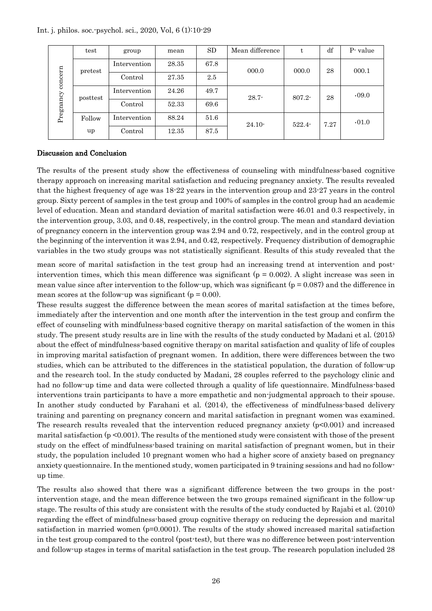|  |  |  |  |  |  |  |  |  | Int. j. philos. soc. psychol. sci., 2020, Vol, 6 (1):10-29 |
|--|--|--|--|--|--|--|--|--|------------------------------------------------------------|
|--|--|--|--|--|--|--|--|--|------------------------------------------------------------|

| concern<br>Pregnancy | test     | group        | mean  | <b>SD</b> | Mean difference | t         | df   | P-value |
|----------------------|----------|--------------|-------|-----------|-----------------|-----------|------|---------|
|                      | pretest  | Intervention | 28.35 | 67.8      | 000.0           | 000.0     | 28   | 000.1   |
|                      |          | Control      | 27.35 | 2.5       |                 |           |      |         |
|                      | posttest | Intervention | 24.26 | 49.7      | $28.7 -$        | $807.2 -$ | 28   | .09.0   |
|                      |          | Control      | 52.33 | 69.6      |                 |           |      |         |
|                      | Follow   | Intervention | 88.24 | 51.6      | $24.10-$        | $522.4 -$ | 7.27 | .01.0   |
|                      | up       | Control      | 12.35 | 87.5      |                 |           |      |         |

#### Discussion and Conclusion

The results of the present study show the effectiveness of counseling with mindfulness-based cognitive therapy approach on increasing marital satisfaction and reducing pregnancy anxiety. The results revealed that the highest frequency of age was 18-22 years in the intervention group and 23-27 years in the control group. Sixty percent of samples in the test group and 100% of samples in the control group had an academic level of education. Mean and standard deviation of marital satisfaction were 46.01 and 0.3 respectively, in the intervention group, 3.03, and 0.48, respectively, in the control group. The mean and standard deviation of pregnancy concern in the intervention group was 2.94 and 0.72, respectively, and in the control group at the beginning of the intervention it was 2.94, and 0.42, respectively. Frequency distribution of demographic variables in the two study groups was not statistically significant. Results of this study revealed that the

mean score of marital satisfaction in the test group had an increasing trend at intervention and postintervention times, which this mean difference was significant ( $p = 0.002$ ). A slight increase was seen in mean value since after intervention to the follow-up, which was significant ( $p = 0.087$ ) and the difference in mean scores at the follow-up was significant ( $p = 0.00$ ).

These results suggest the difference between the mean scores of marital satisfaction at the times before, immediately after the intervention and one month after the intervention in the test group and confirm the effect of counseling with mindfulness-based cognitive therapy on marital satisfaction of the women in this study. The present study results are in line with the results of the study conducted by Madani et al. (2015) about the effect of mindfulness-based cognitive therapy on marital satisfaction and quality of life of couples in improving marital satisfaction of pregnant women. In addition, there were differences between the two studies, which can be attributed to the differences in the statistical population, the duration of follow-up and the research tool. In the study conducted by Madani, 28 couples referred to the psychology clinic and had no follow-up time and data were collected through a quality of life questionnaire. Mindfulness-based interventions train participants to have a more empathetic and non-judgmental approach to their spouse. In another study conducted by Farahani et al. (2014), the effectiveness of mindfulness-based delivery training and parenting on pregnancy concern and marital satisfaction in pregnant women was examined. The research results revealed that the intervention reduced pregnancy anxiety  $(p<0.001)$  and increased marital satisfaction ( $p \le 0.001$ ). The results of the mentioned study were consistent with those of the present study on the effect of mindfulness-based training on marital satisfaction of pregnant women, but in their study, the population included 10 pregnant women who had a higher score of anxiety based on pregnancy anxiety questionnaire. In the mentioned study, women participated in 9 training sessions and had no followup time .

The results also showed that there was a significant difference between the two groups in the postintervention stage, and the mean difference between the two groups remained significant in the follow-up stage. The results of this study are consistent with the results of the study conducted by Rajabi et al. (2010) regarding the effect of mindfulness-based group cognitive therapy on reducing the depression and marital satisfaction in married women (p=0.0001). The results of the study showed increased marital satisfaction in the test group compared to the control (post-test), but there was no difference between post-intervention and follow-up stages in terms of marital satisfaction in the test group. The research population included 28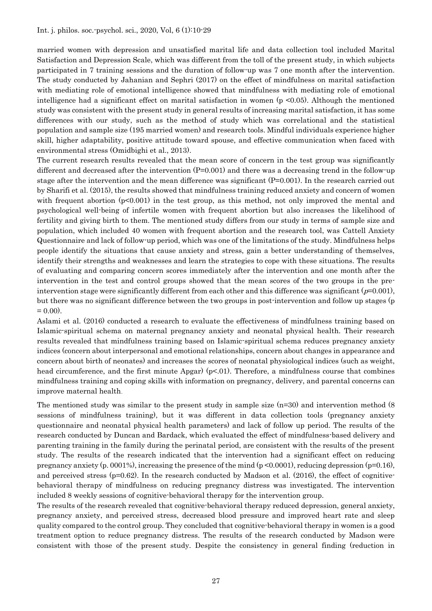married women with depression and unsatisfied marital life and data collection tool included Marital Satisfaction and Depression Scale, which was different from the toll of the present study, in which subjects participated in 7 training sessions and the duration of follow-up was 7 one month after the intervention. The study conducted by Jahanian and Sephri (2017) on the effect of mindfulness on marital satisfaction with mediating role of emotional intelligence showed that mindfulness with mediating role of emotional intelligence had a significant effect on marital satisfaction in women ( $p \le 0.05$ ). Although the mentioned study was consistent with the present study in general results of increasing marital satisfaction, it has some differences with our study, such as the method of study which was correlational and the statistical population and sample size (195 married women) and research tools. Mindful individuals experience higher skill, higher adaptability, positive attitude toward spouse, and effective communication when faced with environmental stress (Omidbighi et al., 2013).

The current research results revealed that the mean score of concern in the test group was significantly different and decreased after the intervention  $(P=0.001)$  and there was a decreasing trend in the follow-up stage after the intervention and the mean difference was significant (P=0.001). In the research carried out by Sharifi et al. (2015), the results showed that mindfulness training reduced anxiety and concern of women with frequent abortion  $(p<0.001)$  in the test group, as this method, not only improved the mental and psychological well-being of infertile women with frequent abortion but also increases the likelihood of fertility and giving birth to them. The mentioned study differs from our study in terms of sample size and population, which included 40 women with frequent abortion and the research tool, was Cattell Anxiety Questionnaire and lack of follow-up period, which was one of the limitations of the study. Mindfulness helps people identify the situations that cause anxiety and stress, gain a better understanding of themselves, identify their strengths and weaknesses and learn the strategies to cope with these situations. The results of evaluating and comparing concern scores immediately after the intervention and one month after the intervention in the test and control groups showed that the mean scores of the two groups in the preintervention stage were significantly different from each other and this difference was significant ( $p=0.001$ ), but there was no significant difference between the two groups in post-intervention and follow up stages (p  $= 0.00$ ).

Aslami et al. (2016) conducted a research to evaluate the effectiveness of mindfulness training based on Islamic-spiritual schema on maternal pregnancy anxiety and neonatal physical health. Their research results revealed that mindfulness training based on Islamic-spiritual schema reduces pregnancy anxiety indices (concern about interpersonal and emotional relationships, concern about changes in appearance and concern about birth of neonates) and increases the scores of neonatal physiological indices (such as weight, head circumference, and the first minute Apgar)  $(p<0.01)$ . Therefore, a mindfulness course that combines mindfulness training and coping skills with information on pregnancy, delivery, and parental concerns can improve maternal health.

The mentioned study was similar to the present study in sample size  $(n=30)$  and intervention method (8) sessions of mindfulness training), but it was different in data collection tools (pregnancy anxiety questionnaire and neonatal physical health parameters) and lack of follow up period. The results of the research conducted by Duncan and Bardack, which evaluated the effect of mindfulness-based delivery and parenting training in the family during the perinatal period, are consistent with the results of the present study. The results of the research indicated that the intervention had a significant effect on reducing pregnancy anxiety (p. 0001%), increasing the presence of the mind (p <0.0001), reducing depression (p=0.16), and perceived stress  $(p=0.62)$ . In the research conducted by Madson et al. (2016), the effect of cognitivebehavioral therapy of mindfulness on reducing pregnancy distress was investigated. The intervention included 8 weekly sessions of cognitive-behavioral therapy for the intervention group.

The results of the research revealed that cognitive-behavioral therapy reduced depression, general anxiety, pregnancy anxiety, and perceived stress, decreased blood pressure and improved heart rate and sleep quality compared to the control group. They concluded that cognitive-behavioral therapy in women is a good treatment option to reduce pregnancy distress. The results of the research conducted by Madson were consistent with those of the present study. Despite the consistency in general finding (reduction in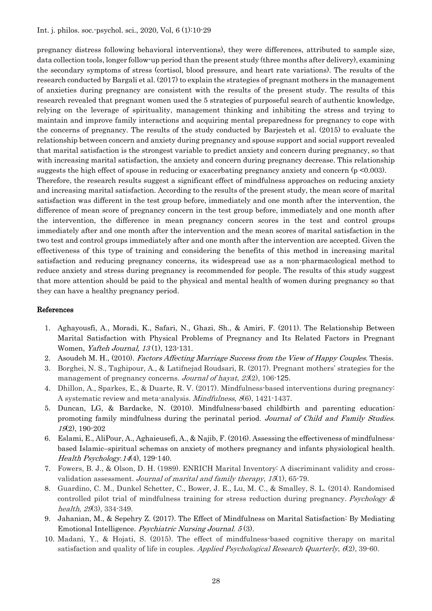pregnancy distress following behavioral interventions), they were differences, attributed to sample size, data collection tools, longer follow-up period than the present study (three months after delivery), examining the secondary symptoms of stress (cortisol, blood pressure, and heart rate variations). The results of the research conducted by Bargali et al. (2017) to explain the strategies of pregnant mothers in the management of anxieties during pregnancy are consistent with the results of the present study. The results of this research revealed that pregnant women used the 5 strategies of purposeful search of authentic knowledge, relying on the leverage of spirituality, management thinking and inhibiting the stress and trying to maintain and improve family interactions and acquiring mental preparedness for pregnancy to cope with the concerns of pregnancy. The results of the study conducted by Barjesteh et al. (2015) to evaluate the relationship between concern and anxiety during pregnancy and spouse support and social support revealed that marital satisfaction is the strongest variable to predict anxiety and concern during pregnancy, so that with increasing marital satisfaction, the anxiety and concern during pregnancy decrease. This relationship suggests the high effect of spouse in reducing or exacerbating pregnancy anxiety and concern (p <0.003). Therefore, the research results suggest a significant effect of mindfulness approaches on reducing anxiety and increasing marital satisfaction. According to the results of the present study, the mean score of marital satisfaction was different in the test group before, immediately and one month after the intervention, the difference of mean score of pregnancy concern in the test group before, immediately and one month after the intervention, the difference in mean pregnancy concern scores in the test and control groups

immediately after and one month after the intervention and the mean scores of marital satisfaction in the two test and control groups immediately after and one month after the intervention are accepted. Given the effectiveness of this type of training and considering the benefits of this method in increasing marital satisfaction and reducing pregnancy concerns, its widespread use as a non-pharmacological method to reduce anxiety and stress during pregnancy is recommended for people. The results of this study suggest that more attention should be paid to the physical and mental health of women during pregnancy so that they can have a healthy pregnancy period.

#### References

- 1. Aghayousfi, A., Moradi, K., Safari, N., Ghazi, Sh., & Amiri, F. (2011). The Relationship Between Marital Satisfaction with Physical Problems of Pregnancy and Its Related Factors in Pregnant Women, *Yafteh Journal*, 13(1), 123-131.
- 2. Asoudeh M. H., (2010). Factors Affecting Marriage Success from the View of Happy Couples. Thesis.
- 3. Borghei, N. S., Taghipour, A., & Latifnejad Roudsari, R. (2017). Pregnant mothers' strategies for the management of pregnancy concerns. Journal of hayat, 23(2), 106-125.
- 4. Dhillon, A., Sparkes, E., & Duarte, R. V. (2017). Mindfulness-based interventions during pregnancy: A systematic review and meta-analysis. *Mindfulness*, 8(6), 1421-1437.
- 5. Duncan, LG, & Bardacke, N. (2010). Mindfulness-based childbirth and parenting education: promoting family mindfulness during the perinatal period. Journal of Child and Family Studies. 19(2), 190-202
- 6. Eslami, E., AliPour, A., Aghaieusefi, A., & Najib, F. (2016). Assessing the effectiveness of mindfulnessbased Islamic–spiritual schemas on anxiety of mothers pregnancy and infants physiological health. Health Psychology.14(4), 129-140.
- 7. Fowers, B. J., & Olson, D. H. (1989). ENRICH Marital Inventory: A discriminant validity and cross‐ validation assessment. Journal of marital and family therapy,  $15(1)$ ,  $65-79$ .
- 8. Guardino, C. M., Dunkel Schetter, C., Bower, J. E., Lu, M. C., & Smalley, S. L. (2014). Randomised controlled pilot trial of mindfulness training for stress reduction during pregnancy. Psychology  $\&$ health,  $29(3)$ ,  $334-349$ .
- 9. Jahanian, M., & Sepehry Z. (2017). The Effect of Mindfulness on Marital Satisfaction: By Mediating Emotional Intelligence. Psychiatric Nursing Journal. 5 (3).
- 10. Madani, Y., & Hojati, S. (2015). The effect of mindfulness-based cognitive therapy on marital satisfaction and quality of life in couples. Applied Psychological Research Quarterly,  $6(2)$ , 39.60.